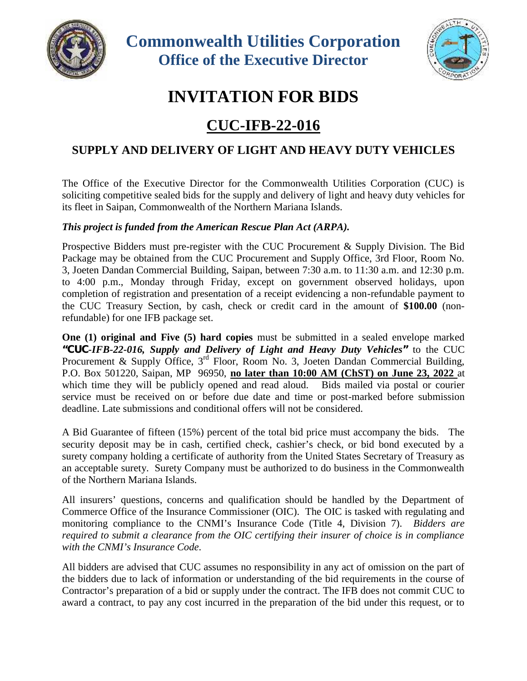



## **INVITATION FOR BIDS**

## **CUC-IFB-22-016**

## **SUPPLY AND DELIVERY OF LIGHT AND HEAVY DUTY VEHICLES**

The Office of the Executive Director for the Commonwealth Utilities Corporation (CUC) is soliciting competitive sealed bids for the supply and delivery of light and heavy duty vehicles for its fleet in Saipan, Commonwealth of the Northern Mariana Islands.

## *This project is funded from the American Rescue Plan Act (ARPA).*

Prospective Bidders must pre-register with the CUC Procurement & Supply Division. The Bid Package may be obtained from the CUC Procurement and Supply Office, 3rd Floor, Room No. 3, Joeten Dandan Commercial Building, Saipan, between 7:30 a.m. to 11:30 a.m. and 12:30 p.m. to 4:00 p.m., Monday through Friday, except on government observed holidays, upon completion of registration and presentation of a receipt evidencing a non-refundable payment to the CUC Treasury Section, by cash, check or credit card in the amount of **\$100.00** (nonrefundable) for one IFB package set.

**One (1) original and Five (5) hard copies** must be submitted in a sealed envelope marked *"CUC-IFB-22-016, Supply and Delivery of Light and Heavy Duty Vehicles"* to the CUC Procurement & Supply Office, 3<sup>rd</sup> Floor, Room No. 3, Joeten Dandan Commercial Building, P.O. Box 501220, Saipan, MP 96950, **no later than 10:00 AM (ChST) on June 23, 2022** at which time they will be publicly opened and read aloud. Bids mailed via postal or courier service must be received on or before due date and time or post-marked before submission deadline. Late submissions and conditional offers will not be considered.

A Bid Guarantee of fifteen (15%) percent of the total bid price must accompany the bids. The security deposit may be in cash, certified check, cashier's check, or bid bond executed by a surety company holding a certificate of authority from the United States Secretary of Treasury as an acceptable surety. Surety Company must be authorized to do business in the Commonwealth of the Northern Mariana Islands.

All insurers' questions, concerns and qualification should be handled by the Department of Commerce Office of the Insurance Commissioner (OIC). The OIC is tasked with regulating and monitoring compliance to the CNMI's Insurance Code (Title 4, Division 7). *Bidders are required to submit a clearance from the OIC certifying their insurer of choice is in compliance with the CNMI's Insurance Code.*

All bidders are advised that CUC assumes no responsibility in any act of omission on the part of the bidders due to lack of information or understanding of the bid requirements in the course of Contractor's preparation of a bid or supply under the contract. The IFB does not commit CUC to award a contract, to pay any cost incurred in the preparation of the bid under this request, or to